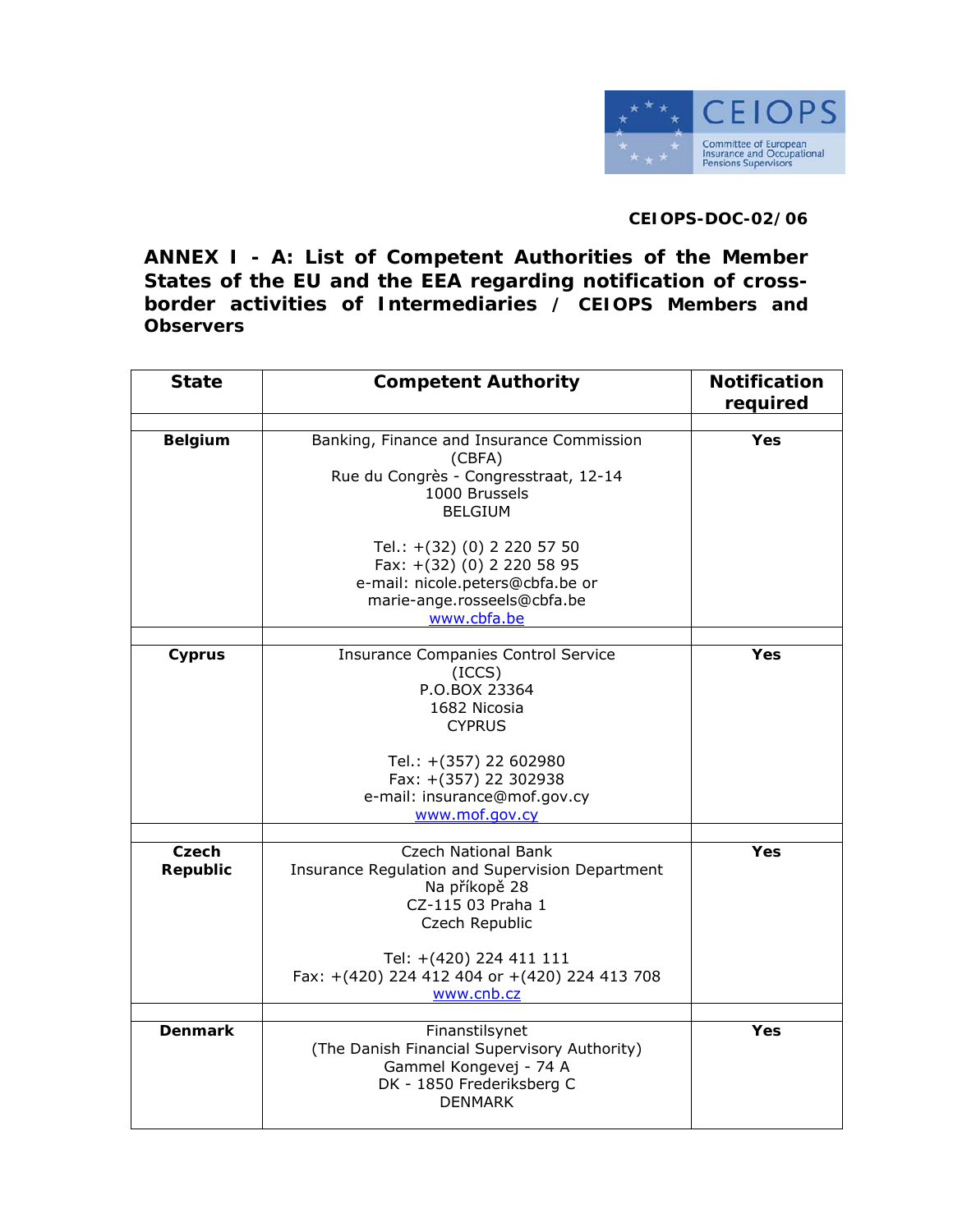

## **CEIOPS-DOC-02/06**

**ANNEX I - A: List of Competent Authorities of the Member States of the EU and the EEA regarding notification of crossborder activities of Intermediaries / CEIOPS Members and Observers** 

| <b>State</b>      | <b>Competent Authority</b>                                                                                                                                                                                        | <b>Notification</b> |
|-------------------|-------------------------------------------------------------------------------------------------------------------------------------------------------------------------------------------------------------------|---------------------|
|                   |                                                                                                                                                                                                                   | required            |
| <b>Belgium</b>    | Banking, Finance and Insurance Commission<br>(CBFA)<br>Rue du Congrès - Congresstraat, 12-14<br>1000 Brussels<br><b>BELGIUM</b>                                                                                   | Yes                 |
|                   | Tel.: +(32) (0) 2 220 57 50<br>Fax: +(32) (0) 2 220 58 95<br>e-mail: nicole.peters@cbfa.be or<br>marie-ange.rosseels@cbfa.be<br>www.cbfa.be                                                                       |                     |
| Cyprus            | <b>Insurance Companies Control Service</b><br>(ICCS)<br>P.O.BOX 23364<br>1682 Nicosia<br><b>CYPRUS</b>                                                                                                            | Yes                 |
|                   | Tel.: +(357) 22 602980<br>Fax: +(357) 22 302938<br>e-mail: insurance@mof.gov.cy<br>www.mof.gov.cy                                                                                                                 |                     |
| Czech<br>Republic | <b>Czech National Bank</b><br>Insurance Regulation and Supervision Department<br>Na příkopě 28<br>CZ-115 03 Praha 1<br>Czech Republic<br>Tel: +(420) 224 411 111<br>Fax: +(420) 224 412 404 or +(420) 224 413 708 | Yes                 |
|                   | www.cnb.cz                                                                                                                                                                                                        |                     |
| <b>Denmark</b>    | Finanstilsynet<br>(The Danish Financial Supervisory Authority)<br>Gammel Kongevej - 74 A<br>DK - 1850 Frederiksberg C<br><b>DENMARK</b>                                                                           | Yes                 |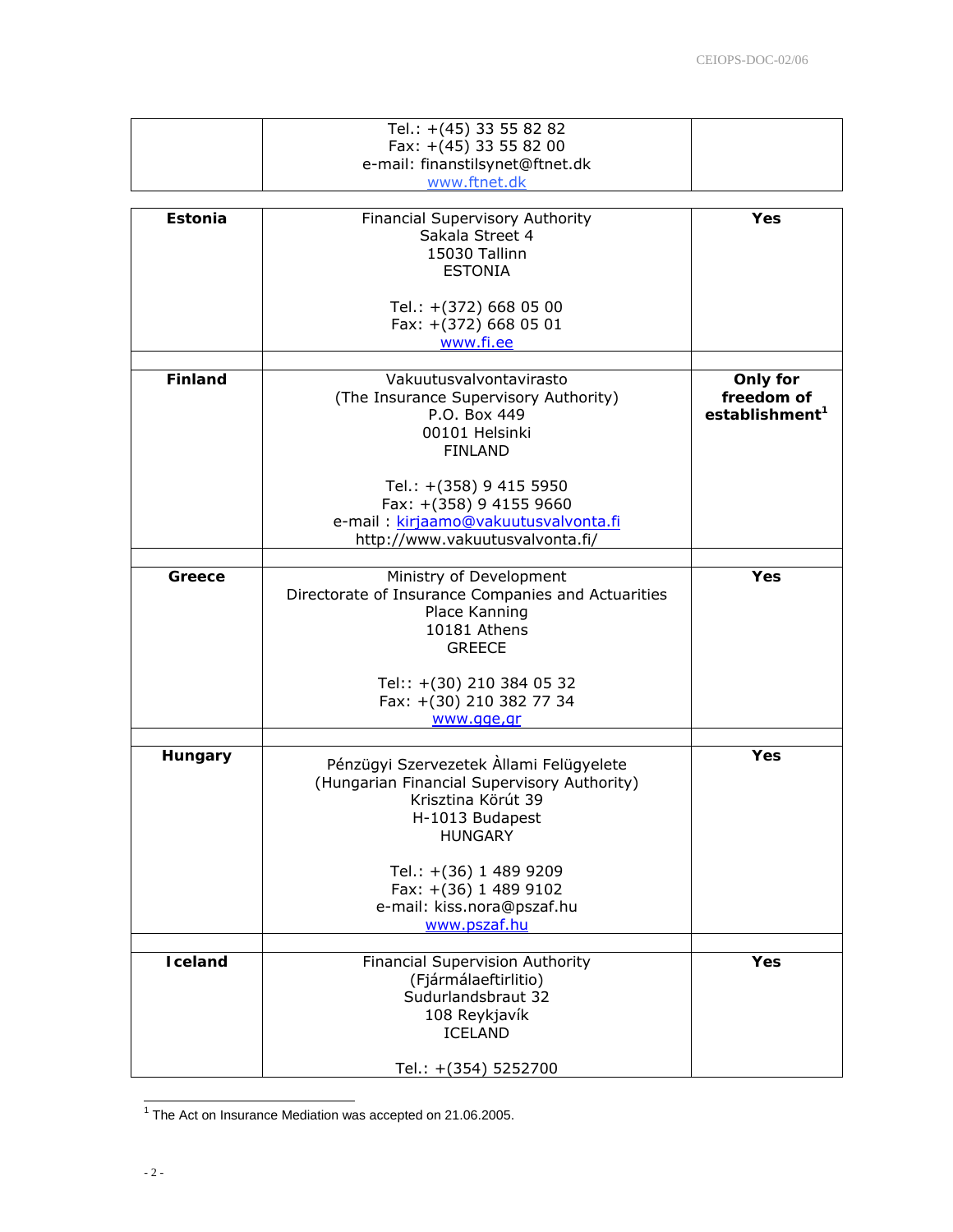|                 | Tel.: +(45) 33 55 82 82<br>Fax: +(45) 33 55 82 00<br>e-mail: finanstilsynet@ftnet.dk<br>www.ftnet.dk                                              |                                                      |
|-----------------|---------------------------------------------------------------------------------------------------------------------------------------------------|------------------------------------------------------|
| Estonia         | Financial Supervisory Authority<br>Sakala Street 4<br>15030 Tallinn<br><b>ESTONIA</b><br>Tel.: +(372) 668 05 00                                   | Yes                                                  |
|                 | Fax: +(372) 668 05 01<br>www.fi.ee                                                                                                                |                                                      |
| <b>Finland</b>  | Vakuutusvalvontavirasto<br>(The Insurance Supervisory Authority)<br>P.O. Box 449<br>00101 Helsinki<br><b>FINLAND</b>                              | Only for<br>freedom of<br>establishment <sup>1</sup> |
|                 | Tel.: +(358) 9 415 5950<br>Fax: +(358) 9 4155 9660<br>e-mail : kirjaamo@vakuutusvalvonta.fi<br>http://www.vakuutusvalvonta.fi/                    |                                                      |
| Greece          | Ministry of Development<br>Directorate of Insurance Companies and Actuarities<br>Place Kanning<br>10181 Athens<br><b>GREECE</b>                   | <b>Yes</b>                                           |
|                 | Tel:: +(30) 210 384 05 32<br>Fax: +(30) 210 382 77 34<br>www.gge,gr                                                                               |                                                      |
|                 |                                                                                                                                                   |                                                      |
| Hungary         | Pénzügyi Szervezetek Allami Felügyelete<br>(Hungarian Financial Supervisory Authority)<br>Krisztina Körút 39<br>H-1013 Budapest<br><b>HUNGARY</b> | Yes                                                  |
|                 | Tel.: +(36) 1 489 9209<br>Fax: +(36) 1 489 9102<br>e-mail: kiss.nora@pszaf.hu<br>www.pszaf.hu                                                     |                                                      |
| <b>I</b> celand | Financial Supervision Authority<br>(Fjármálaeftirlitio)<br>Sudurlandsbraut 32<br>108 Reykjavík<br><b>ICELAND</b>                                  | Yes                                                  |
|                 | Tel.: +(354) 5252700                                                                                                                              |                                                      |

 1 The Act on Insurance Mediation was accepted on 21.06.2005.

 $\overline{\phantom{a}}$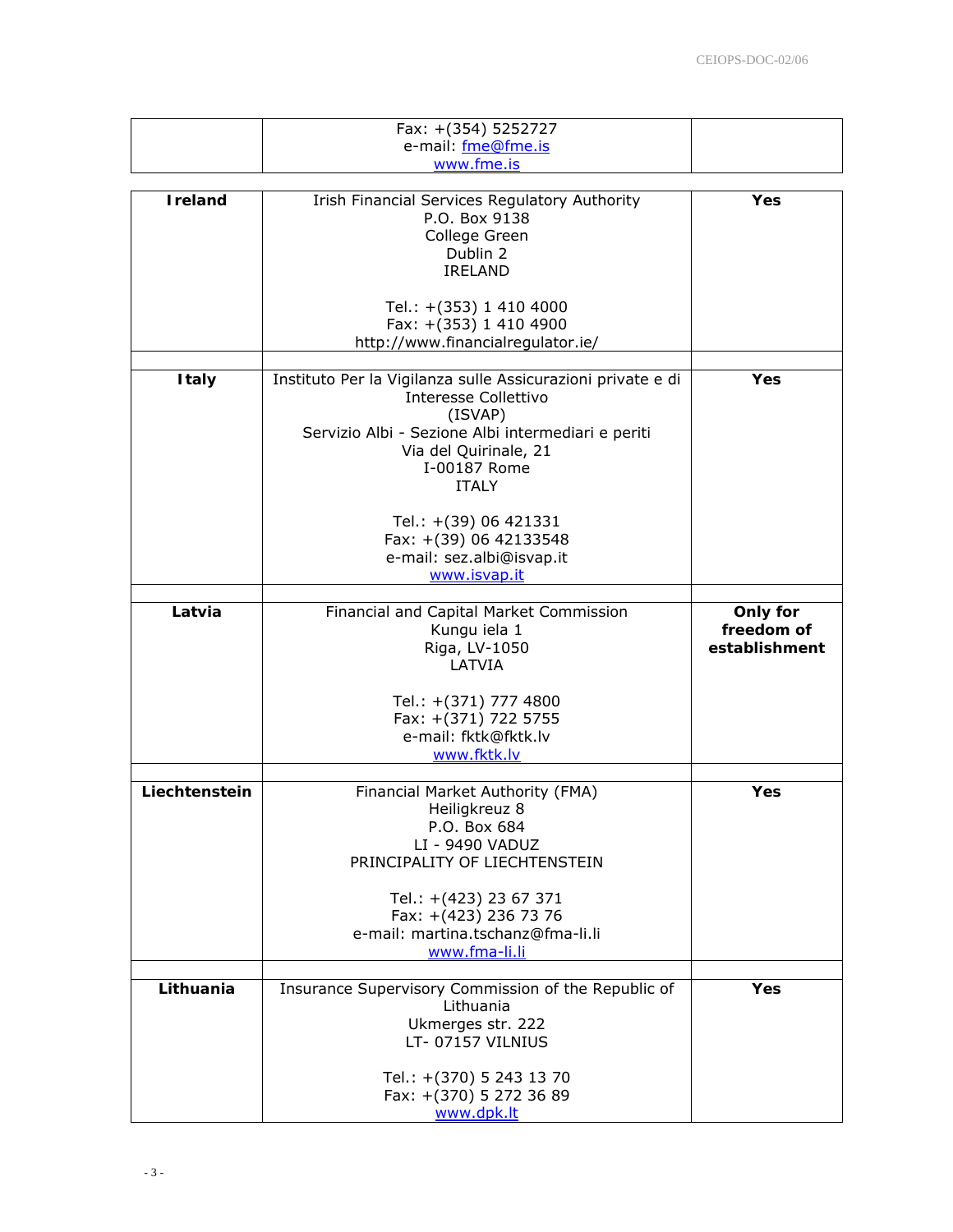|                 | Fax: +(354) 5252727<br>e-mail: fme@fme.is<br>www.fme.is                                                                                                                                                                                                                                       |                                         |
|-----------------|-----------------------------------------------------------------------------------------------------------------------------------------------------------------------------------------------------------------------------------------------------------------------------------------------|-----------------------------------------|
|                 |                                                                                                                                                                                                                                                                                               |                                         |
| <b>I</b> reland | <b>Irish Financial Services Regulatory Authority</b><br>P.O. Box 9138<br>College Green<br>Dublin 2<br><b>IRELAND</b>                                                                                                                                                                          | Yes                                     |
|                 | Tel.: +(353) 1 410 4000<br>Fax: +(353) 1 410 4900<br>http://www.financialregulator.ie/                                                                                                                                                                                                        |                                         |
| <b>Italy</b>    | Instituto Per la Vigilanza sulle Assicurazioni private e di<br>Interesse Collettivo<br>(ISVAP)<br>Servizio Albi - Sezione Albi intermediari e periti<br>Via del Quirinale, 21<br>I-00187 Rome<br><b>ITALY</b><br>Tel.: +(39) 06 421331<br>Fax: +(39) 06 42133548<br>e-mail: sez.albi@isvap.it | Yes                                     |
|                 | www.isvap.it                                                                                                                                                                                                                                                                                  |                                         |
|                 |                                                                                                                                                                                                                                                                                               |                                         |
| Latvia          | Financial and Capital Market Commission<br>Kungu iela 1<br>Riga, LV-1050<br>LATVIA                                                                                                                                                                                                            | Only for<br>freedom of<br>establishment |
|                 | Tel.: +(371) 777 4800<br>Fax: +(371) 722 5755<br>e-mail: fktk@fktk.lv<br>www.fktk.lv                                                                                                                                                                                                          |                                         |
| Liechtenstein   | Financial Market Authority (FMA)<br>Heiligkreuz 8<br>P.O. Box 684<br>LI - 9490 VADUZ<br>PRINCIPALITY OF LIECHTENSTEIN<br>Tel.: +(423) 23 67 371<br>Fax: +(423) 236 73 76<br>e-mail: martina.tschanz@fma-li.li                                                                                 | Yes                                     |
|                 | www.fma-li.li                                                                                                                                                                                                                                                                                 |                                         |
| Lithuania       | Insurance Supervisory Commission of the Republic of<br>Lithuania<br>Ukmerges str. 222<br>LT-07157 VILNIUS<br>Tel.: +(370) 5 243 13 70                                                                                                                                                         | <b>Yes</b>                              |
|                 | Fax: +(370) 5 272 36 89<br>www.dpk.lt                                                                                                                                                                                                                                                         |                                         |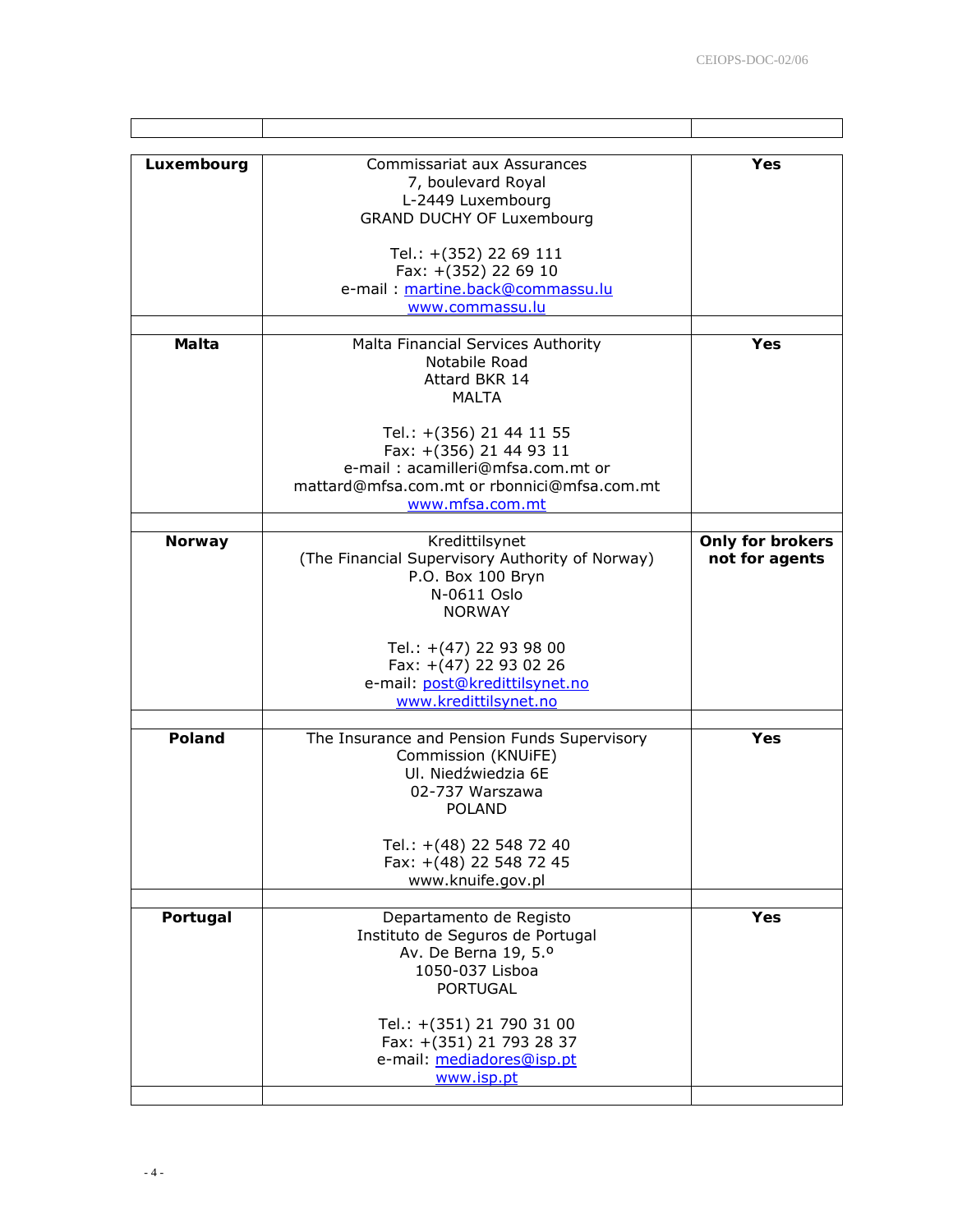| Luxembourg    | Commissariat aux Assurances<br>7, boulevard Royal<br>L-2449 Luxembourg<br><b>GRAND DUCHY OF Luxembourg</b>                                                 | Yes                                       |
|---------------|------------------------------------------------------------------------------------------------------------------------------------------------------------|-------------------------------------------|
|               | Tel.: +(352) 22 69 111<br>Fax: +(352) 22 69 10<br>e-mail: martine.back@commassu.lu<br>www.commassu.lu                                                      |                                           |
| Malta         | Malta Financial Services Authority<br>Notabile Road<br>Attard BKR 14<br>MALTA                                                                              | Yes                                       |
|               | Tel.: +(356) 21 44 11 55<br>Fax: +(356) 21 44 93 11<br>e-mail: acamilleri@mfsa.com.mt or<br>mattard@mfsa.com.mt or rbonnici@mfsa.com.mt<br>www.mfsa.com.mt |                                           |
| <b>Norway</b> | Kredittilsynet<br>(The Financial Supervisory Authority of Norway)<br>P.O. Box 100 Bryn<br>N-0611 Oslo<br><b>NORWAY</b>                                     | <b>Only for brokers</b><br>not for agents |
|               | Tel.: +(47) 22 93 98 00<br>Fax: +(47) 22 93 02 26<br>e-mail: post@kredittilsynet.no<br>www.kredittilsynet.no                                               |                                           |
| Poland        | The Insurance and Pension Funds Supervisory<br>Commission (KNUiFE)<br>Ul. Niedźwiedzia 6E<br>02-737 Warszawa<br><b>POLAND</b>                              | Yes                                       |
|               | Tel.: +(48) 22 548 72 40<br>Fax: +(48) 22 548 72 45<br>www.knuife.gov.pl                                                                                   |                                           |
| Portugal      | Departamento de Registo<br>Instituto de Seguros de Portugal<br>Av. De Berna 19, 5.º<br>1050-037 Lisboa<br><b>PORTUGAL</b>                                  | Yes                                       |
|               | Tel.: +(351) 21 790 31 00<br>Fax: +(351) 21 793 28 37<br>e-mail: mediadores@isp.pt<br>www.isp.pt                                                           |                                           |